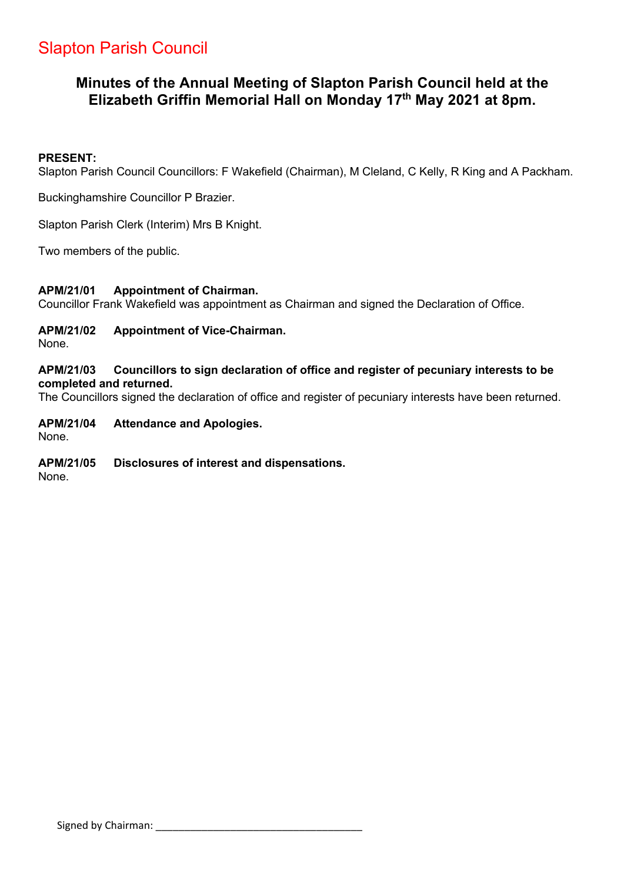# Slapton Parish Council

## **Minutes of the Annual Meeting of Slapton Parish Council held at the Elizabeth Griffin Memorial Hall on Monday 17th May 2021 at 8pm.**

#### **PRESENT:**

Slapton Parish Council Councillors: F Wakefield (Chairman), M Cleland, C Kelly, R King and A Packham.

Buckinghamshire Councillor P Brazier.

Slapton Parish Clerk (Interim) Mrs B Knight.

Two members of the public.

#### **APM/21/01 Appointment of Chairman.**

Councillor Frank Wakefield was appointment as Chairman and signed the Declaration of Office.

## **APM/21/02 Appointment of Vice-Chairman.**

None.

#### **APM/21/03 Councillors to sign declaration of office and register of pecuniary interests to be completed and returned.**

The Councillors signed the declaration of office and register of pecuniary interests have been returned.

## **APM/21/04 Attendance and Apologies.**

None.

#### **APM/21/05 Disclosures of interest and dispensations.**

None.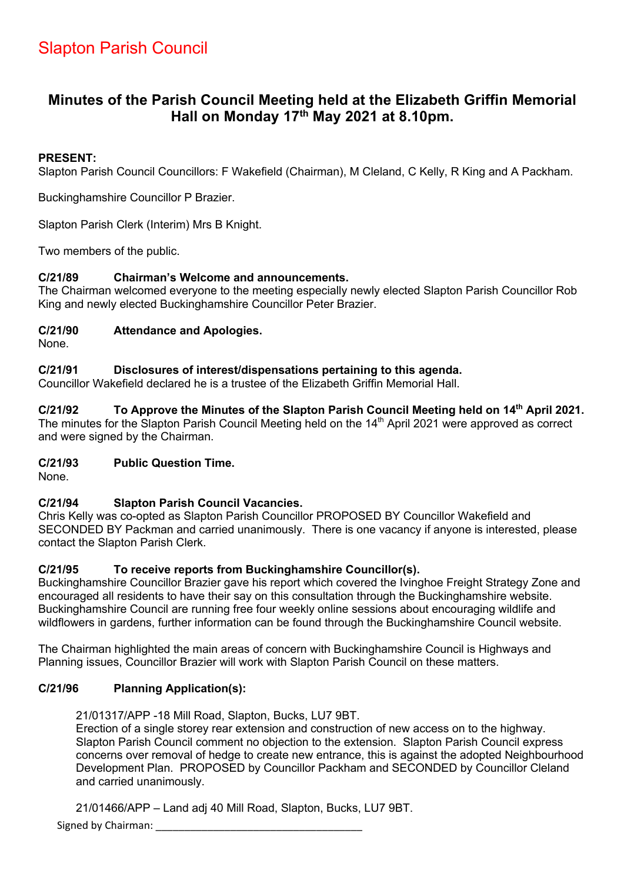## **Minutes of the Parish Council Meeting held at the Elizabeth Griffin Memorial Hall on Monday 17th May 2021 at 8.10pm.**

## **PRESENT:**

Slapton Parish Council Councillors: F Wakefield (Chairman), M Cleland, C Kelly, R King and A Packham.

Buckinghamshire Councillor P Brazier.

Slapton Parish Clerk (Interim) Mrs B Knight.

Two members of the public.

## **C/21/89 Chairman's Welcome and announcements.**

The Chairman welcomed everyone to the meeting especially newly elected Slapton Parish Councillor Rob King and newly elected Buckinghamshire Councillor Peter Brazier.

## **C/21/90 Attendance and Apologies.**

None.

## **C/21/91 Disclosures of interest/dispensations pertaining to this agenda.**

Councillor Wakefield declared he is a trustee of the Elizabeth Griffin Memorial Hall.

## **C/21/92 To Approve the Minutes of the Slapton Parish Council Meeting held on 14th April 2021.**

The minutes for the Slapton Parish Council Meeting held on the 14<sup>th</sup> April 2021 were approved as correct and were signed by the Chairman.

#### **C/21/93 Public Question Time.**

None.

## **C/21/94 Slapton Parish Council Vacancies.**

Chris Kelly was co-opted as Slapton Parish Councillor PROPOSED BY Councillor Wakefield and SECONDED BY Packman and carried unanimously. There is one vacancy if anyone is interested, please contact the Slapton Parish Clerk.

#### **C/21/95 To receive reports from Buckinghamshire Councillor(s).**

Buckinghamshire Councillor Brazier gave his report which covered the Ivinghoe Freight Strategy Zone and encouraged all residents to have their say on this consultation through the Buckinghamshire website. Buckinghamshire Council are running free four weekly online sessions about encouraging wildlife and wildflowers in gardens, further information can be found through the Buckinghamshire Council website.

The Chairman highlighted the main areas of concern with Buckinghamshire Council is Highways and Planning issues, Councillor Brazier will work with Slapton Parish Council on these matters.

## **C/21/96 Planning Application(s):**

21/01317/APP -18 Mill Road, Slapton, Bucks, LU7 9BT.

Erection of a single storey rear extension and construction of new access on to the highway. Slapton Parish Council comment no objection to the extension. Slapton Parish Council express concerns over removal of hedge to create new entrance, this is against the adopted Neighbourhood Development Plan. PROPOSED by Councillor Packham and SECONDED by Councillor Cleland and carried unanimously.

21/01466/APP – Land adj 40 Mill Road, Slapton, Bucks, LU7 9BT.

Signed by Chairman: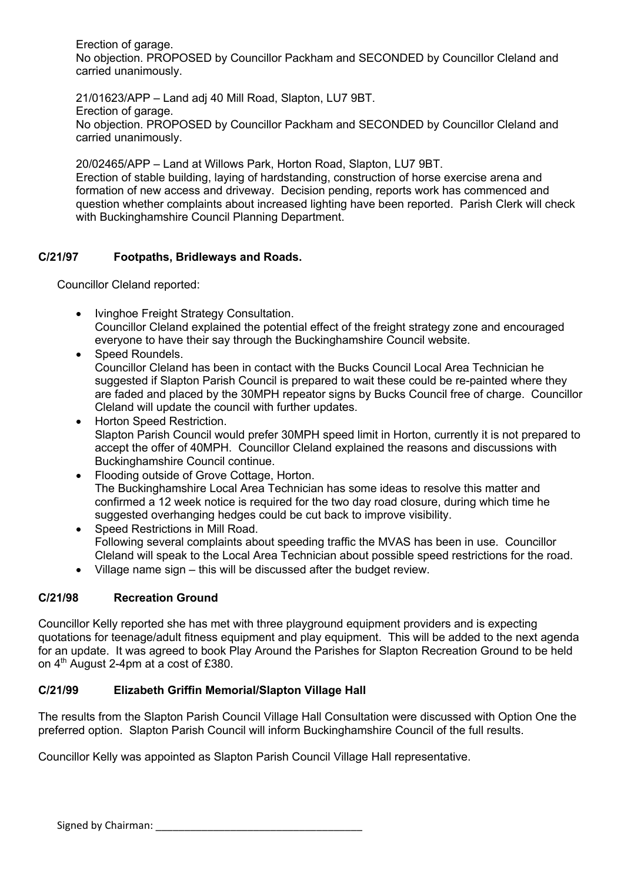Erection of garage. No objection. PROPOSED by Councillor Packham and SECONDED by Councillor Cleland and carried unanimously.

21/01623/APP – Land adj 40 Mill Road, Slapton, LU7 9BT. Erection of garage. No objection. PROPOSED by Councillor Packham and SECONDED by Councillor Cleland and carried unanimously.

20/02465/APP – Land at Willows Park, Horton Road, Slapton, LU7 9BT. Erection of stable building, laying of hardstanding, construction of horse exercise arena and formation of new access and driveway. Decision pending, reports work has commenced and question whether complaints about increased lighting have been reported. Parish Clerk will check with Buckinghamshire Council Planning Department.

## **C/21/97 Footpaths, Bridleways and Roads.**

Councillor Cleland reported:

- Ivinghoe Freight Strategy Consultation. Councillor Cleland explained the potential effect of the freight strategy zone and encouraged everyone to have their say through the Buckinghamshire Council website.
- Speed Roundels. Councillor Cleland has been in contact with the Bucks Council Local Area Technician he suggested if Slapton Parish Council is prepared to wait these could be re-painted where they are faded and placed by the 30MPH repeator signs by Bucks Council free of charge. Councillor Cleland will update the council with further updates.
- Horton Speed Restriction. Slapton Parish Council would prefer 30MPH speed limit in Horton, currently it is not prepared to accept the offer of 40MPH. Councillor Cleland explained the reasons and discussions with Buckinghamshire Council continue.
- Flooding outside of Grove Cottage, Horton. The Buckinghamshire Local Area Technician has some ideas to resolve this matter and confirmed a 12 week notice is required for the two day road closure, during which time he suggested overhanging hedges could be cut back to improve visibility.
- Speed Restrictions in Mill Road. Following several complaints about speeding traffic the MVAS has been in use. Councillor Cleland will speak to the Local Area Technician about possible speed restrictions for the road.
- Village name sign this will be discussed after the budget review.

## **C/21/98 Recreation Ground**

Councillor Kelly reported she has met with three playground equipment providers and is expecting quotations for teenage/adult fitness equipment and play equipment. This will be added to the next agenda for an update. It was agreed to book Play Around the Parishes for Slapton Recreation Ground to be held on 4<sup>th</sup> August 2-4pm at a cost of £380.

## **C/21/99 Elizabeth Griffin Memorial/Slapton Village Hall**

The results from the Slapton Parish Council Village Hall Consultation were discussed with Option One the preferred option. Slapton Parish Council will inform Buckinghamshire Council of the full results.

Councillor Kelly was appointed as Slapton Parish Council Village Hall representative.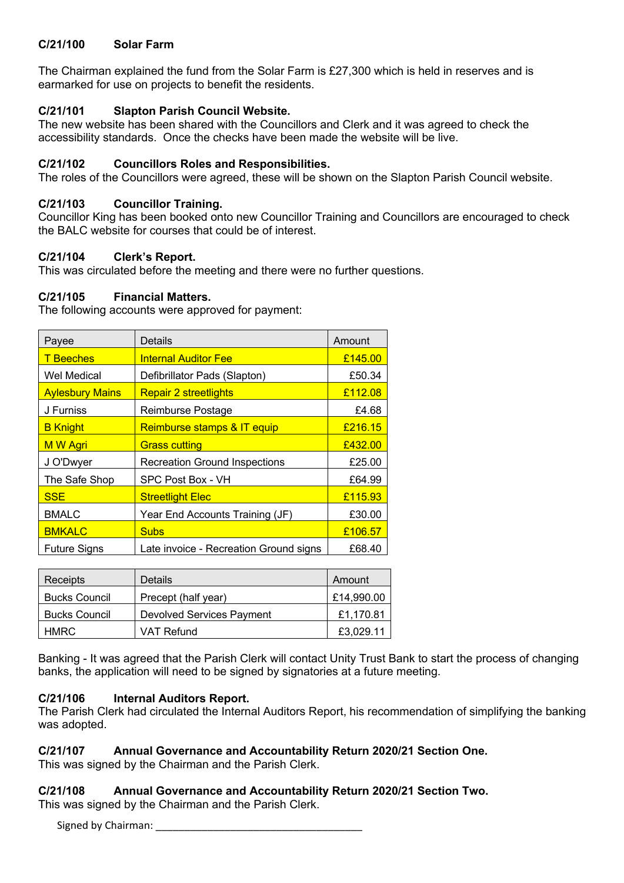#### **C/21/100 Solar Farm**

The Chairman explained the fund from the Solar Farm is £27,300 which is held in reserves and is earmarked for use on projects to benefit the residents.

## **C/21/101 Slapton Parish Council Website.**

The new website has been shared with the Councillors and Clerk and it was agreed to check the accessibility standards. Once the checks have been made the website will be live.

#### **C/21/102 Councillors Roles and Responsibilities.**

The roles of the Councillors were agreed, these will be shown on the Slapton Parish Council website.

#### **C/21/103 Councillor Training.**

Councillor King has been booked onto new Councillor Training and Councillors are encouraged to check the BALC website for courses that could be of interest.

#### **C/21/104 Clerk's Report.**

This was circulated before the meeting and there were no further questions.

#### **C/21/105 Financial Matters.**

The following accounts were approved for payment:

| Payee                  | Details                                | Amount  |
|------------------------|----------------------------------------|---------|
| <b>T</b> Beeches       | <b>Internal Auditor Fee</b>            | £145.00 |
| Wel Medical            | Defibrillator Pads (Slapton)           | £50.34  |
| <b>Aylesbury Mains</b> | <b>Repair 2 streetlights</b>           | £112.08 |
| J Furniss              | Reimburse Postage                      | £4.68   |
| <b>B</b> Knight        | Reimburse stamps & IT equip            | £216.15 |
| M W Agri               | <b>Grass cutting</b>                   | £432.00 |
| J O'Dwyer              | <b>Recreation Ground Inspections</b>   | £25.00  |
| The Safe Shop          | SPC Post Box - VH                      | £64.99  |
| <b>SSE</b>             | <b>Streetlight Elec</b>                | £115.93 |
| <b>BMALC</b>           | Year End Accounts Training (JF)        | £30.00  |
| <b>BMKALC</b>          | <b>Subs</b>                            | £106.57 |
| <b>Future Signs</b>    | Late invoice - Recreation Ground signs | £68.40  |

| Receipts             | <b>Details</b>                   | Amount     |
|----------------------|----------------------------------|------------|
| <b>Bucks Council</b> | Precept (half year)              | £14,990.00 |
| <b>Bucks Council</b> | <b>Devolved Services Payment</b> | £1,170.81  |
| <b>HMRC</b>          | VAT Refund                       | £3.029.11  |

Banking - It was agreed that the Parish Clerk will contact Unity Trust Bank to start the process of changing banks, the application will need to be signed by signatories at a future meeting.

## **C/21/106 Internal Auditors Report.**

The Parish Clerk had circulated the Internal Auditors Report, his recommendation of simplifying the banking was adopted.

#### **C/21/107 Annual Governance and Accountability Return 2020/21 Section One.**

This was signed by the Chairman and the Parish Clerk.

## **C/21/108 Annual Governance and Accountability Return 2020/21 Section Two.**

This was signed by the Chairman and the Parish Clerk.

Signed by Chairman: